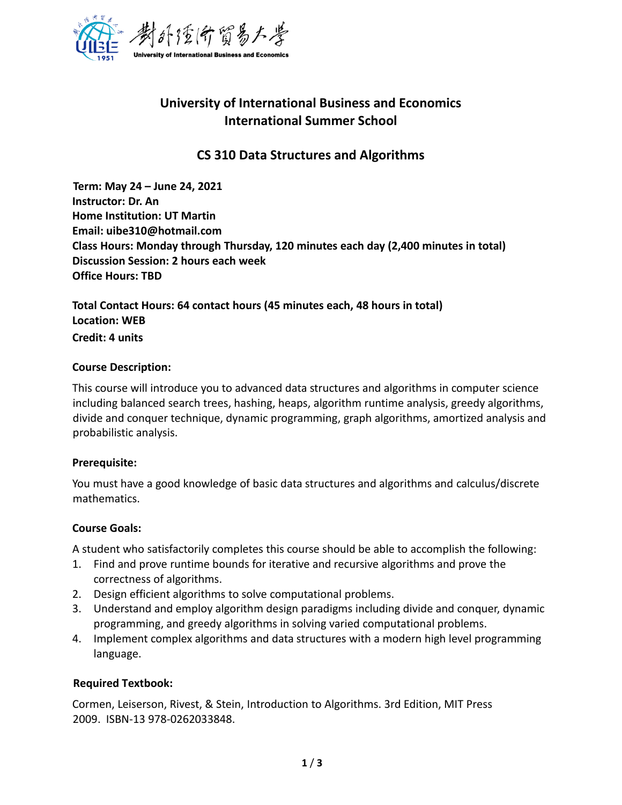

# **University of International Business and Economics International Summer School**

# **CS 310 Data Structures and Algorithms**

**Term: May 24 – June 24, 2021 Instructor: Dr. An Home Institution: UT Martin Email: uibe310@hotmail.com Class Hours: Monday through Thursday, 120 minutes each day (2,400 minutes in total) Discussion Session: 2 hours each week Office Hours: TBD**

**Total Contact Hours: 64 contact hours (45 minutes each, 48 hours in total) Location: WEB Credit: 4 units**

#### **Course Description:**

This course will introduce you to advanced data structures and algorithms in computer science including balanced search trees, hashing, heaps, algorithm runtime analysis, greedy algorithms, divide and conquer technique, dynamic programming, graph algorithms, amortized analysis and probabilistic analysis.

#### **Prerequisite:**

You must have a good knowledge of basic data structures and algorithms and calculus/discrete mathematics.

### **Course Goals:**

A student who satisfactorily completes this course should be able to accomplish the following:

- 1. Find and prove runtime bounds for iterative and recursive algorithms and prove the correctness of algorithms.
- 2. Design efficient algorithms to solve computational problems.
- 3. Understand and employ algorithm design paradigms including divide and conquer, dynamic programming, and greedy algorithms in solving varied computational problems.
- 4. Implement complex algorithms and data structures with a modern high level programming language.

### **Required Textbook:**

Cormen, Leiserson, Rivest, & Stein, Introduction to Algorithms. 3rd Edition, MIT Press 2009. ISBN-13 978-0262033848.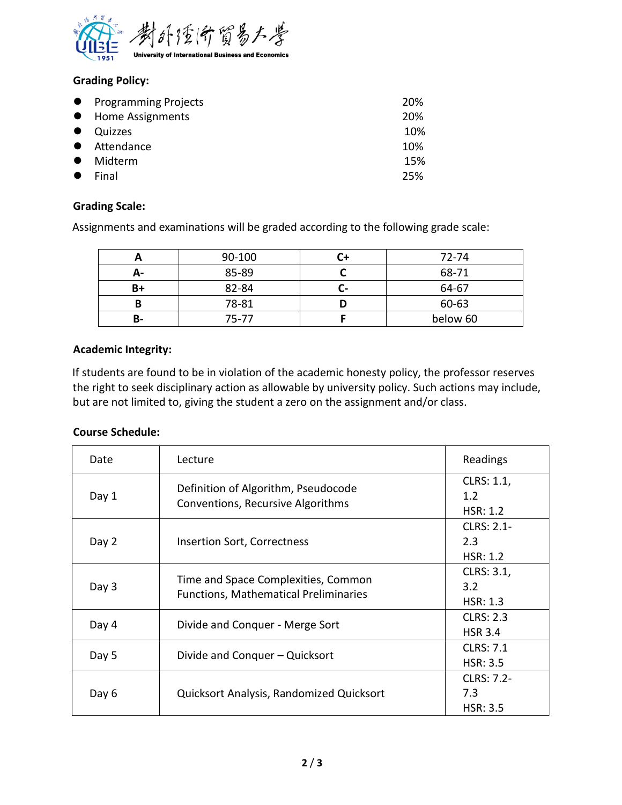

## **Grading Policy:**

|           | • Programming Projects | 20% |
|-----------|------------------------|-----|
|           | • Home Assignments     | 20% |
| $\bullet$ | Quizzes                | 10% |
|           | • Attendance           | 10% |
| $\bullet$ | Midterm                | 15% |
| $\bullet$ | Final                  | 25% |

### **Grading Scale:**

Assignments and examinations will be graded according to the following grade scale:

|    | 90-100 | 72-74    |
|----|--------|----------|
| Δ- | 85-89  | 68-71    |
| B+ | 82-84  | 64-67    |
|    | 78-81  | 60-63    |
| В- | 75-77  | below 60 |

### **Academic Integrity:**

If students are found to be in violation of the academic honesty policy, the professor reserves the right to seek disciplinary action as allowable by university policy. Such actions may include, but are not limited to, giving the student a zero on the assignment and/or class.

### **Course Schedule:**

| Date  | Lecture                                                                             | Readings                             |
|-------|-------------------------------------------------------------------------------------|--------------------------------------|
| Day 1 | Definition of Algorithm, Pseudocode<br>Conventions, Recursive Algorithms            | CLRS: 1.1,<br>1.2<br>HSR: 1.2        |
| Day 2 | <b>Insertion Sort, Correctness</b>                                                  | CLRS: 2.1-<br>2.3<br><b>HSR: 1.2</b> |
| Day 3 | Time and Space Complexities, Common<br><b>Functions, Mathematical Preliminaries</b> | CLRS: 3.1,<br>3.2<br><b>HSR: 1.3</b> |
| Day 4 | Divide and Conquer - Merge Sort                                                     | <b>CLRS: 2.3</b><br><b>HSR 3.4</b>   |
| Day 5 | Divide and Conquer – Quicksort                                                      | <b>CLRS: 7.1</b><br><b>HSR: 3.5</b>  |
| Day 6 | Quicksort Analysis, Randomized Quicksort                                            | CLRS: 7.2-<br>7.3<br><b>HSR: 3.5</b> |